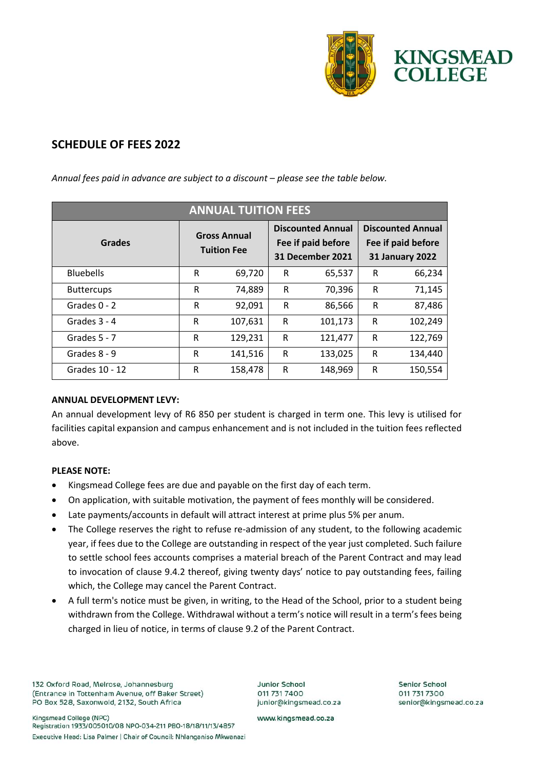

# **SCHEDULE OF FEES 2022**

| <b>ANNUAL TUITION FEES</b> |                                           |         |                                                                           |         |                                                                          |         |
|----------------------------|-------------------------------------------|---------|---------------------------------------------------------------------------|---------|--------------------------------------------------------------------------|---------|
| <b>Grades</b>              | <b>Gross Annual</b><br><b>Tuition Fee</b> |         | <b>Discounted Annual</b><br>Fee if paid before<br><b>31 December 2021</b> |         | <b>Discounted Annual</b><br>Fee if paid before<br><b>31 January 2022</b> |         |
| <b>Bluebells</b>           | R                                         | 69,720  | R                                                                         | 65,537  | R                                                                        | 66,234  |
| <b>Buttercups</b>          | R                                         | 74,889  | R                                                                         | 70,396  | R                                                                        | 71,145  |
| Grades 0 - 2               | R                                         | 92,091  | R                                                                         | 86,566  | R                                                                        | 87,486  |
| Grades 3 - 4               | R                                         | 107,631 | R                                                                         | 101,173 | $\mathsf{R}$                                                             | 102,249 |
| Grades 5 - 7               | R                                         | 129,231 | R                                                                         | 121,477 | $\mathsf{R}$                                                             | 122,769 |
| Grades 8 - 9               | R                                         | 141,516 | R                                                                         | 133,025 | R                                                                        | 134,440 |
| Grades 10 - 12             | R                                         | 158,478 | R                                                                         | 148,969 | R                                                                        | 150,554 |

Annual fees paid in advance are subject to a discount *–* please see the table below.

## **ANNUAL DEVELOPMENT LEVY:**

An annual development levy of R6 850 per student is charged in term one. This levy is utilised for facilities capital expansion and campus enhancement and is not included in the tuition fees reflected above.

## **PLEASE NOTE:**

- Kingsmead College fees are due and payable on the first day of each term.
- On application, with suitable motivation, the payment of fees monthly will be considered.
- Late payments/accounts in default will attract interest at prime plus 5% per anum.
- The College reserves the right to refuse re-admission of any student, to the following academic year, if fees due to the College are outstanding in respect of the year just completed. Such failure to settle school fees accounts comprises a material breach of the Parent Contract and may lead to invocation of clause 9.4.2 thereof, giving twenty days' notice to pay outstanding fees, failing which, the College may cancel the Parent Contract.
- A full term's notice must be given, in writing, to the Head of the School, prior to a student being withdrawn from the College. Withdrawal without a term's notice will result in a term's fees being charged in lieu of notice, in terms of clause 9.2 of the Parent Contract.

132 Oxford Road, Melrose, Johannesburg (Entrance in Tottenham Avenue, off Baker Street) PO Box 528, Saxonwold, 2132, South Africa

Kingsmead College (NPC) Registration 1933/005010/08 NPO-034-211 PBO-18/18/11/13/4857 Executive Head: Lisa Palmer | Chair of Council: Nhlanganiso Mkwanazi **Junior School** 011 731 7400 junior@kingsmead.co.za Senior School 011 731 7300 senior@kingsmead.co.za

www.kingsmead.co.za